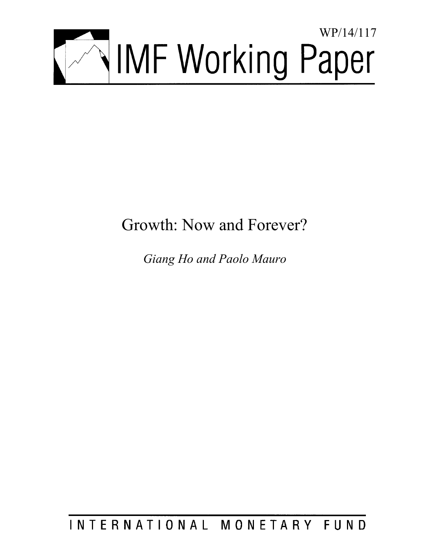

# Growth: Now and Forever?

*Giang Ho and Paolo Mauro* 

INTERNATIONAL MONETARY FUND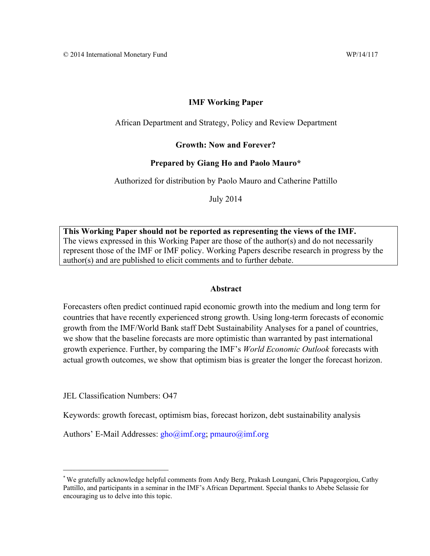# **IMF Working Paper**

African Department and Strategy, Policy and Review Department

**Growth: Now and Forever?** 

# **Prepared by Giang Ho and Paolo Mauro\***

Authorized for distribution by Paolo Mauro and Catherine Pattillo

July 2014

**This Working Paper should not be reported as representing the views of the IMF.**  The views expressed in this Working Paper are those of the author(s) and do not necessarily represent those of the IMF or IMF policy. Working Papers describe research in progress by the author(s) and are published to elicit comments and to further debate.

#### **Abstract**

Forecasters often predict continued rapid economic growth into the medium and long term for countries that have recently experienced strong growth. Using long-term forecasts of economic growth from the IMF/World Bank staff Debt Sustainability Analyses for a panel of countries, we show that the baseline forecasts are more optimistic than warranted by past international growth experience. Further, by comparing the IMF's *World Economic Outlook* forecasts with actual growth outcomes, we show that optimism bias is greater the longer the forecast horizon.

JEL Classification Numbers: O47

 $\mathcal{L}_\text{max}$  , where  $\mathcal{L}_\text{max}$  , we have the set of  $\mathcal{L}_\text{max}$ 

Keywords: growth forecast, optimism bias, forecast horizon, debt sustainability analysis

Authors' E-Mail Addresses: gho@imf.org; pmauro@imf.org

<sup>\*</sup> We gratefully acknowledge helpful comments from Andy Berg, Prakash Loungani, Chris Papageorgiou, Cathy Pattillo, and participants in a seminar in the IMF's African Department. Special thanks to Abebe Selassie for encouraging us to delve into this topic.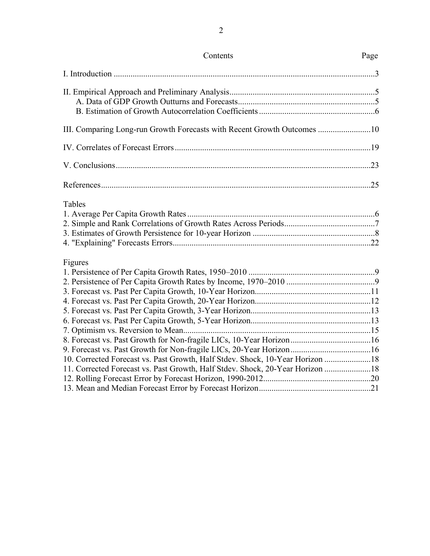| III. Comparing Long-run Growth Forecasts with Recent Growth Outcomes 10                                                                                                   |  |
|---------------------------------------------------------------------------------------------------------------------------------------------------------------------------|--|
|                                                                                                                                                                           |  |
|                                                                                                                                                                           |  |
|                                                                                                                                                                           |  |
| Tables                                                                                                                                                                    |  |
| Figures<br>10. Corrected Forecast vs. Past Growth, Half Stdev. Shock, 10-Year Horizon 18<br>11. Corrected Forecast vs. Past Growth, Half Stdev. Shock, 20-Year Horizon 18 |  |

# Contents Page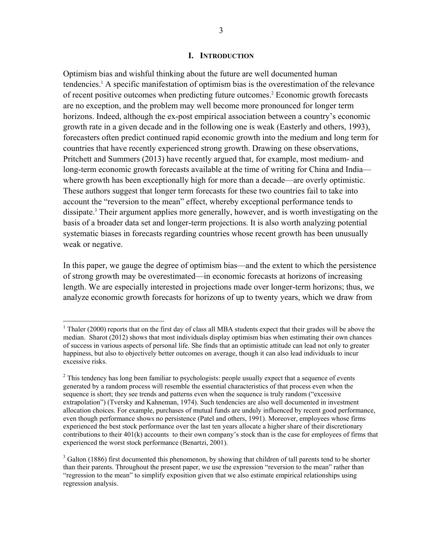#### **I. INTRODUCTION**

Optimism bias and wishful thinking about the future are well documented human tendencies.<sup>1</sup> A specific manifestation of optimism bias is the overestimation of the relevance of recent positive outcomes when predicting future outcomes.<sup>2</sup> Economic growth forecasts are no exception, and the problem may well become more pronounced for longer term horizons. Indeed, although the ex-post empirical association between a country's economic growth rate in a given decade and in the following one is weak (Easterly and others, 1993), forecasters often predict continued rapid economic growth into the medium and long term for countries that have recently experienced strong growth. Drawing on these observations, Pritchett and Summers (2013) have recently argued that, for example, most medium- and long-term economic growth forecasts available at the time of writing for China and India where growth has been exceptionally high for more than a decade—are overly optimistic. These authors suggest that longer term forecasts for these two countries fail to take into account the "reversion to the mean" effect, whereby exceptional performance tends to dissipate.<sup>3</sup> Their argument applies more generally, however, and is worth investigating on the basis of a broader data set and longer-term projections. It is also worth analyzing potential systematic biases in forecasts regarding countries whose recent growth has been unusually weak or negative.

In this paper, we gauge the degree of optimism bias—and the extent to which the persistence of strong growth may be overestimated—in economic forecasts at horizons of increasing length. We are especially interested in projections made over longer-term horizons; thus, we analyze economic growth forecasts for horizons of up to twenty years, which we draw from

<sup>&</sup>lt;sup>1</sup> Thaler (2000) reports that on the first day of class all MBA students expect that their grades will be above the median. Sharot (2012) shows that most individuals display optimism bias when estimating their own chances of success in various aspects of personal life. She finds that an optimistic attitude can lead not only to greater happiness, but also to objectively better outcomes on average, though it can also lead individuals to incur excessive risks.

 $2^2$  This tendency has long been familiar to psychologists: people usually expect that a sequence of events generated by a random process will resemble the essential characteristics of that process even when the sequence is short; they see trends and patterns even when the sequence is truly random ("excessive extrapolation") (Tversky and Kahneman, 1974). Such tendencies are also well documented in investment allocation choices. For example, purchases of mutual funds are unduly influenced by recent good performance, even though performance shows no persistence (Patel and others, 1991). Moreover, employees whose firms experienced the best stock performance over the last ten years allocate a higher share of their discretionary contributions to their 401(k) accounts to their own company's stock than is the case for employees of firms that experienced the worst stock performance (Benartzi, 2001).

 $3$  Galton (1886) first documented this phenomenon, by showing that children of tall parents tend to be shorter than their parents. Throughout the present paper, we use the expression "reversion to the mean" rather than "regression to the mean" to simplify exposition given that we also estimate empirical relationships using regression analysis.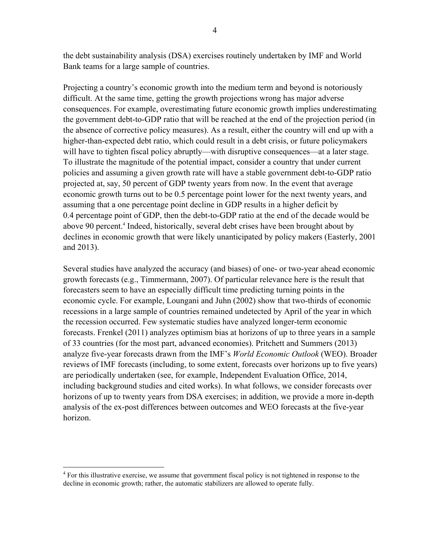the debt sustainability analysis (DSA) exercises routinely undertaken by IMF and World Bank teams for a large sample of countries.

Projecting a country's economic growth into the medium term and beyond is notoriously difficult. At the same time, getting the growth projections wrong has major adverse consequences. For example, overestimating future economic growth implies underestimating the government debt-to-GDP ratio that will be reached at the end of the projection period (in the absence of corrective policy measures). As a result, either the country will end up with a higher-than-expected debt ratio, which could result in a debt crisis, or future policymakers will have to tighten fiscal policy abruptly—with disruptive consequences—at a later stage. To illustrate the magnitude of the potential impact, consider a country that under current policies and assuming a given growth rate will have a stable government debt-to-GDP ratio projected at, say, 50 percent of GDP twenty years from now. In the event that average economic growth turns out to be 0.5 percentage point lower for the next twenty years, and assuming that a one percentage point decline in GDP results in a higher deficit by 0.4 percentage point of GDP, then the debt-to-GDP ratio at the end of the decade would be above 90 percent.<sup>4</sup> Indeed, historically, several debt crises have been brought about by declines in economic growth that were likely unanticipated by policy makers (Easterly, 2001 and 2013).

Several studies have analyzed the accuracy (and biases) of one- or two-year ahead economic growth forecasts (e.g., Timmermann, 2007). Of particular relevance here is the result that forecasters seem to have an especially difficult time predicting turning points in the economic cycle. For example, Loungani and Juhn (2002) show that two-thirds of economic recessions in a large sample of countries remained undetected by April of the year in which the recession occurred. Few systematic studies have analyzed longer-term economic forecasts. Frenkel (2011) analyzes optimism bias at horizons of up to three years in a sample of 33 countries (for the most part, advanced economies). Pritchett and Summers (2013) analyze five-year forecasts drawn from the IMF's *World Economic Outlook* (WEO). Broader reviews of IMF forecasts (including, to some extent, forecasts over horizons up to five years) are periodically undertaken (see, for example, Independent Evaluation Office, 2014, including background studies and cited works). In what follows, we consider forecasts over horizons of up to twenty years from DSA exercises; in addition, we provide a more in-depth analysis of the ex-post differences between outcomes and WEO forecasts at the five-year horizon.

 $\overline{a}$ 

<sup>&</sup>lt;sup>4</sup> For this illustrative exercise, we assume that government fiscal policy is not tightened in response to the decline in economic growth; rather, the automatic stabilizers are allowed to operate fully.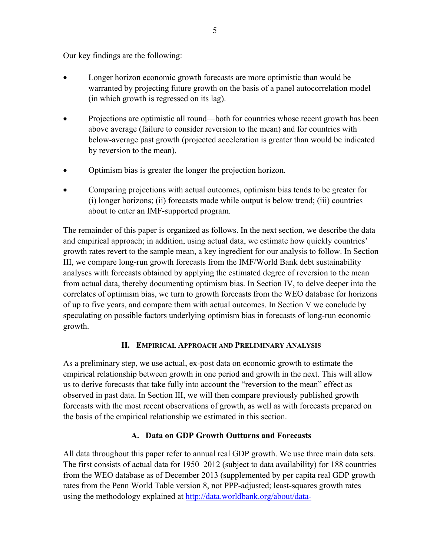Our key findings are the following:

- Longer horizon economic growth forecasts are more optimistic than would be warranted by projecting future growth on the basis of a panel autocorrelation model (in which growth is regressed on its lag).
- Projections are optimistic all round—both for countries whose recent growth has been above average (failure to consider reversion to the mean) and for countries with below-average past growth (projected acceleration is greater than would be indicated by reversion to the mean).
- Optimism bias is greater the longer the projection horizon.
- Comparing projections with actual outcomes, optimism bias tends to be greater for (i) longer horizons; (ii) forecasts made while output is below trend; (iii) countries about to enter an IMF-supported program.

The remainder of this paper is organized as follows. In the next section, we describe the data and empirical approach; in addition, using actual data, we estimate how quickly countries' growth rates revert to the sample mean, a key ingredient for our analysis to follow. In Section III, we compare long-run growth forecasts from the IMF/World Bank debt sustainability analyses with forecasts obtained by applying the estimated degree of reversion to the mean from actual data, thereby documenting optimism bias. In Section IV, to delve deeper into the correlates of optimism bias, we turn to growth forecasts from the WEO database for horizons of up to five years, and compare them with actual outcomes. In Section V we conclude by speculating on possible factors underlying optimism bias in forecasts of long-run economic growth.

# **II. EMPIRICAL APPROACH AND PRELIMINARY ANALYSIS**

As a preliminary step, we use actual, ex-post data on economic growth to estimate the empirical relationship between growth in one period and growth in the next. This will allow us to derive forecasts that take fully into account the "reversion to the mean" effect as observed in past data. In Section III, we will then compare previously published growth forecasts with the most recent observations of growth, as well as with forecasts prepared on the basis of the empirical relationship we estimated in this section.

# **A. Data on GDP Growth Outturns and Forecasts**

All data throughout this paper refer to annual real GDP growth. We use three main data sets. The first consists of actual data for 1950–2012 (subject to data availability) for 188 countries from the WEO database as of December 2013 (supplemented by per capita real GDP growth rates from the Penn World Table version 8, not PPP-adjusted; least-squares growth rates using the methodology explained at http://data.worldbank.org/about/data-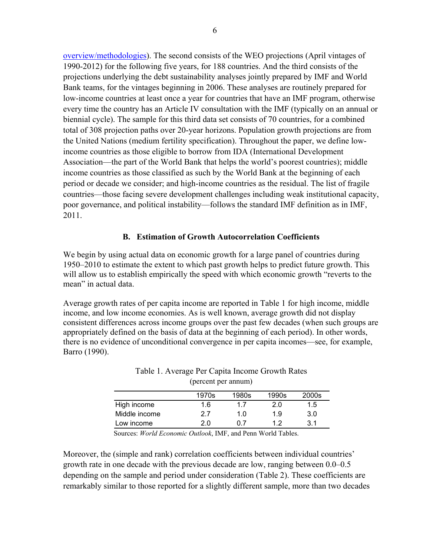overview/methodologies). The second consists of the WEO projections (April vintages of 1990-2012) for the following five years, for 188 countries. And the third consists of the projections underlying the debt sustainability analyses jointly prepared by IMF and World Bank teams, for the vintages beginning in 2006. These analyses are routinely prepared for low-income countries at least once a year for countries that have an IMF program, otherwise every time the country has an Article IV consultation with the IMF (typically on an annual or biennial cycle). The sample for this third data set consists of 70 countries, for a combined total of 308 projection paths over 20-year horizons. Population growth projections are from the United Nations (medium fertility specification). Throughout the paper, we define lowincome countries as those eligible to borrow from IDA (International Development Association—the part of the World Bank that helps the world's poorest countries); middle income countries as those classified as such by the World Bank at the beginning of each period or decade we consider; and high-income countries as the residual. The list of fragile countries—those facing severe development challenges including weak institutional capacity, poor governance, and political instability—follows the standard IMF definition as in IMF, 2011.

# **B. Estimation of Growth Autocorrelation Coefficients**

We begin by using actual data on economic growth for a large panel of countries during 1950–2010 to estimate the extent to which past growth helps to predict future growth. This will allow us to establish empirically the speed with which economic growth "reverts to the mean" in actual data.

Average growth rates of per capita income are reported in Table 1 for high income, middle income, and low income economies. As is well known, average growth did not display consistent differences across income groups over the past few decades (when such groups are appropriately defined on the basis of data at the beginning of each period). In other words, there is no evidence of unconditional convergence in per capita incomes—see, for example, Barro (1990).

|               | 1970s         | 1980s | 1990s | 2000s |
|---------------|---------------|-------|-------|-------|
| High income   | 1.6           | 17    | 2.0   | 1.5   |
| Middle income | 2.7           | 1.0   | 1.9   | 3.0   |
| Low income    | $2.0^{\circ}$ | ი 7   | ィっ    | 3.1   |

#### Table 1. Average Per Capita Income Growth Rates (percent per annum)

Sources: *World Economic Outlook*, IMF, and Penn World Tables.

Moreover, the (simple and rank) correlation coefficients between individual countries' growth rate in one decade with the previous decade are low, ranging between 0.0–0.5 depending on the sample and period under consideration (Table 2). These coefficients are remarkably similar to those reported for a slightly different sample, more than two decades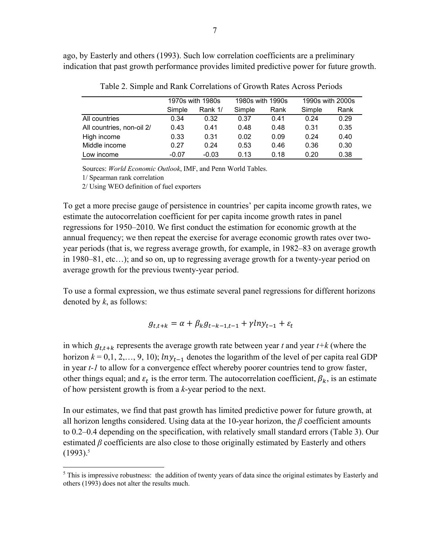ago, by Easterly and others (1993). Such low correlation coefficients are a preliminary indication that past growth performance provides limited predictive power for future growth.

|                           |         | 1970s with 1980s | 1980s with 1990s |      | 1990s with 2000s |      |  |  |
|---------------------------|---------|------------------|------------------|------|------------------|------|--|--|
|                           | Simple  | Rank 1/          | Simple           | Rank | Simple           | Rank |  |  |
| All countries             | 0.34    | 0.32             | 0.37             | 0.41 | 0.24             | 0.29 |  |  |
| All countries, non-oil 2/ | 0.43    | 0.41             | 0.48             | 0.48 | 0.31             | 0.35 |  |  |
| High income               | 0.33    | 0.31             | 0.02             | 0.09 | 0.24             | 0.40 |  |  |
| Middle income             | 0.27    | 0.24             | 0.53             | 0.46 | 0.36             | 0.30 |  |  |
| Low income                | $-0.07$ | $-0.03$          | 0.13             | 0.18 | 0.20             | 0.38 |  |  |

Table 2. Simple and Rank Correlations of Growth Rates Across Periods

Sources: *World Economic Outlook*, IMF, and Penn World Tables.

1/ Spearman rank correlation

 $\overline{a}$ 

2/ Using WEO definition of fuel exporters

To get a more precise gauge of persistence in countries' per capita income growth rates, we estimate the autocorrelation coefficient for per capita income growth rates in panel regressions for 1950–2010. We first conduct the estimation for economic growth at the annual frequency; we then repeat the exercise for average economic growth rates over twoyear periods (that is, we regress average growth, for example, in 1982–83 on average growth in 1980–81, etc…); and so on, up to regressing average growth for a twenty-year period on average growth for the previous twenty-year period.

To use a formal expression, we thus estimate several panel regressions for different horizons denoted by *k*, as follows:

$$
g_{t,t+k} = \alpha + \beta_k g_{t-k-1,t-1} + \gamma l n y_{t-1} + \varepsilon_t
$$

in which  $g_{t,t+k}$  represents the average growth rate between year *t* and year  $t+k$  (where the horizon  $k = 0, 1, 2, \ldots, 9, 10$ ;  $ln y_{t-1}$  denotes the logarithm of the level of per capita real GDP in year *t-1* to allow for a convergence effect whereby poorer countries tend to grow faster, other things equal; and  $\varepsilon_t$  is the error term. The autocorrelation coefficient,  $\beta_k$ , is an estimate of how persistent growth is from a *k*-year period to the next.

In our estimates, we find that past growth has limited predictive power for future growth, at all horizon lengths considered. Using data at the 10-year horizon, the *β* coefficient amounts to 0.2–0.4 depending on the specification, with relatively small standard errors (Table 3). Our estimated *β* coefficients are also close to those originally estimated by Easterly and others  $(1993)^5$ 

 $<sup>5</sup>$  This is impressive robustness: the addition of twenty years of data since the original estimates by Easterly and</sup> others (1993) does not alter the results much.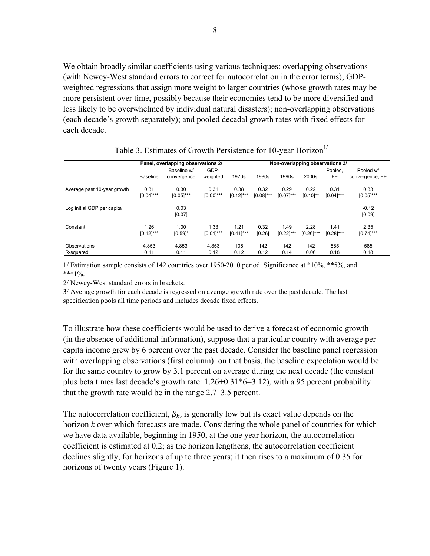We obtain broadly similar coefficients using various techniques: overlapping observations (with Newey-West standard errors to correct for autocorrelation in the error terms); GDPweighted regressions that assign more weight to larger countries (whose growth rates may be more persistent over time, possibly because their economies tend to be more diversified and less likely to be overwhelmed by individual natural disasters); non-overlapping observations (each decade's growth separately); and pooled decadal growth rates with fixed effects for each decade.

|                             |                 | Panel, overlapping observations 2/ | Non-overlapping observations 3/ |              |              |              |               |                |                              |
|-----------------------------|-----------------|------------------------------------|---------------------------------|--------------|--------------|--------------|---------------|----------------|------------------------------|
|                             | <b>Baseline</b> | Baseline w/<br>convergence         | GDP-<br>weighted                | 1970s        | 1980s        | 1990s        | 2000s         | Pooled.<br>FE. | Pooled w/<br>convergence, FE |
| Average past 10-year growth | 0.31            | 0.30                               | 0.31                            | 0.38         | 0.32         | 0.29         | 0.22          | 0.31           | 0.33                         |
|                             | $[0.04]$ ***    | $[0.05]$ ***                       | $[0.00]$ ***                    | $[0.12]$ *** | $[0.08]$ *** | $[0.07]$ *** | $[0.10]^{**}$ | $[0.04]$ ***   | $[0.05]$ ***                 |
| Log initial GDP per capita  |                 | 0.03<br>[0.07]                     |                                 |              |              |              |               |                | $-0.12$<br>[0.09]            |
| Constant                    | 1.26            | 1.00                               | 1.33                            | 1.21         | 0.32         | 1.49         | 2.28          | 1.41           | 2.35                         |
|                             | $[0.12]$ ***    | $[0.59]$ *                         | $[0.01]$ ***                    | $[0.41]$ *** | [0.26]       | $[0.22]$ *** | $[0.26]$ ***  | $[0.28]$ ***   | $[0.74]$ ***                 |
| Observations                | 4,853           | 4,853                              | 4.853                           | 106          | 142          | 142          | 142           | 585            | 585                          |
| R-squared                   | 0.11            | 0.11                               | 0.12                            | 0.12         | 0.12         | 0.14         | 0.06          | 0.18           | 0.18                         |

# Table 3. Estimates of Growth Persistence for 10-year Horizon<sup>1/</sup>

1/ Estimation sample consists of 142 countries over 1950-2010 period. Significance at \*10%, \*\*5%, and  $***1\%$ .

2/ Newey-West standard errors in brackets.

3/ Average growth for each decade is regressed on average growth rate over the past decade. The last specification pools all time periods and includes decade fixed effects.

To illustrate how these coefficients would be used to derive a forecast of economic growth (in the absence of additional information), suppose that a particular country with average per capita income grew by 6 percent over the past decade. Consider the baseline panel regression with overlapping observations (first column): on that basis, the baseline expectation would be for the same country to grow by 3.1 percent on average during the next decade (the constant plus beta times last decade's growth rate: 1.26+0.31\*6=3.12), with a 95 percent probability that the growth rate would be in the range 2.7–3.5 percent.

The autocorrelation coefficient,  $\beta_k$ , is generally low but its exact value depends on the horizon *k* over which forecasts are made. Considering the whole panel of countries for which we have data available, beginning in 1950, at the one year horizon, the autocorrelation coefficient is estimated at 0.2; as the horizon lengthens, the autocorrelation coefficient declines slightly, for horizons of up to three years; it then rises to a maximum of 0.35 for horizons of twenty years (Figure 1).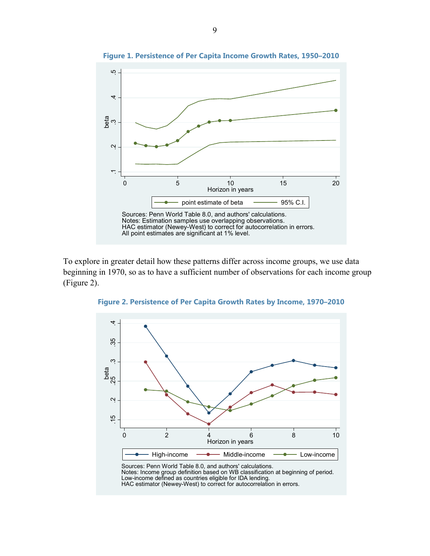

**Figure 1. Persistence of Per Capita Income Growth Rates, 1950–2010** 

To explore in greater detail how these patterns differ across income groups, we use data beginning in 1970, so as to have a sufficient number of observations for each income group (Figure 2).



HAC estimator (Newey-West) to correct for autocorrelation in errors.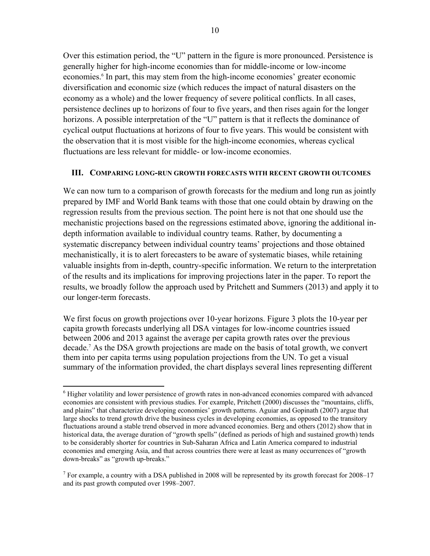Over this estimation period, the "U" pattern in the figure is more pronounced. Persistence is generally higher for high-income economies than for middle-income or low-income economies.<sup>6</sup> In part, this may stem from the high-income economies' greater economic diversification and economic size (which reduces the impact of natural disasters on the economy as a whole) and the lower frequency of severe political conflicts. In all cases, persistence declines up to horizons of four to five years, and then rises again for the longer horizons. A possible interpretation of the "U" pattern is that it reflects the dominance of cyclical output fluctuations at horizons of four to five years. This would be consistent with the observation that it is most visible for the high-income economies, whereas cyclical fluctuations are less relevant for middle- or low-income economies.

#### **III. COMPARING LONG-RUN GROWTH FORECASTS WITH RECENT GROWTH OUTCOMES**

We can now turn to a comparison of growth forecasts for the medium and long run as jointly prepared by IMF and World Bank teams with those that one could obtain by drawing on the regression results from the previous section. The point here is not that one should use the mechanistic projections based on the regressions estimated above, ignoring the additional indepth information available to individual country teams. Rather, by documenting a systematic discrepancy between individual country teams' projections and those obtained mechanistically, it is to alert forecasters to be aware of systematic biases, while retaining valuable insights from in-depth, country-specific information. We return to the interpretation of the results and its implications for improving projections later in the paper. To report the results, we broadly follow the approach used by Pritchett and Summers (2013) and apply it to our longer-term forecasts.

We first focus on growth projections over 10-year horizons. Figure 3 plots the 10-year per capita growth forecasts underlying all DSA vintages for low-income countries issued between 2006 and 2013 against the average per capita growth rates over the previous decade.7 As the DSA growth projections are made on the basis of total growth, we convert them into per capita terms using population projections from the UN. To get a visual summary of the information provided, the chart displays several lines representing different

1

<sup>&</sup>lt;sup>6</sup> Higher volatility and lower persistence of growth rates in non-advanced economies compared with advanced economies are consistent with previous studies. For example, Pritchett (2000) discusses the "mountains, cliffs, and plains" that characterize developing economies' growth patterns. Aguiar and Gopinath (2007) argue that large shocks to trend growth drive the business cycles in developing economies, as opposed to the transitory fluctuations around a stable trend observed in more advanced economies. Berg and others (2012) show that in historical data, the average duration of "growth spells" (defined as periods of high and sustained growth) tends to be considerably shorter for countries in Sub-Saharan Africa and Latin America compared to industrial economies and emerging Asia, and that across countries there were at least as many occurrences of "growth down-breaks" as "growth up-breaks."

<sup>&</sup>lt;sup>7</sup> For example, a country with a DSA published in 2008 will be represented by its growth forecast for 2008–17 and its past growth computed over 1998–2007.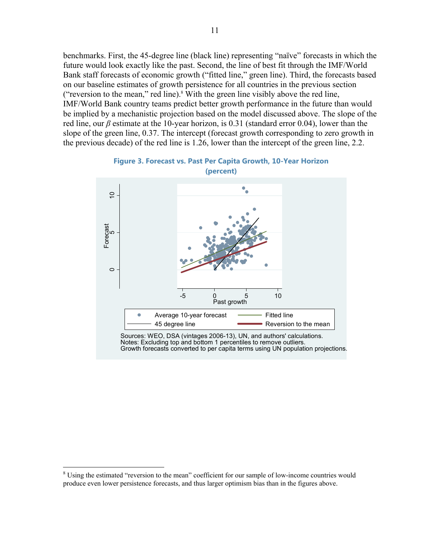benchmarks. First, the 45-degree line (black line) representing "naïve" forecasts in which the future would look exactly like the past. Second, the line of best fit through the IMF/World Bank staff forecasts of economic growth ("fitted line," green line). Third, the forecasts based on our baseline estimates of growth persistence for all countries in the previous section ("reversion to the mean," red line). $8$  With the green line visibly above the red line, IMF/World Bank country teams predict better growth performance in the future than would be implied by a mechanistic projection based on the model discussed above. The slope of the red line, our *β* estimate at the 10-year horizon, is 0.31 (standard error 0.04), lower than the slope of the green line, 0.37. The intercept (forecast growth corresponding to zero growth in the previous decade) of the red line is 1.26, lower than the intercept of the green line, 2.2.



#### **Figure 3. Forecast vs. Past Per Capita Growth, 10-Year Horizon (percent)**

Sources: WEO, DSA (vintages 2006-13), UN, and authors' calculations. Notes: Excluding top and bottom 1 percentiles to remove outliers. Growth forecasts converted to per capita terms using UN population projections.

 $\overline{a}$ 

<sup>&</sup>lt;sup>8</sup> Using the estimated "reversion to the mean" coefficient for our sample of low-income countries would produce even lower persistence forecasts, and thus larger optimism bias than in the figures above.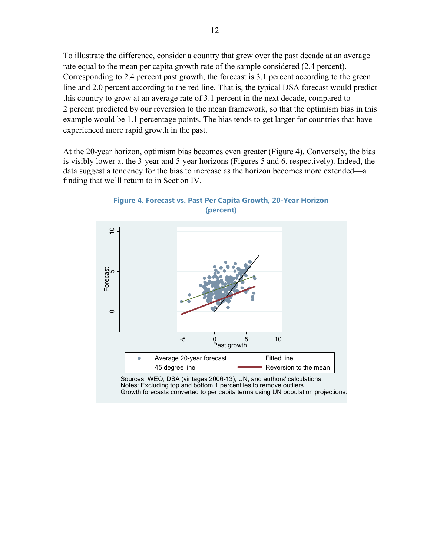To illustrate the difference, consider a country that grew over the past decade at an average rate equal to the mean per capita growth rate of the sample considered (2.4 percent). Corresponding to 2.4 percent past growth, the forecast is 3.1 percent according to the green line and 2.0 percent according to the red line. That is, the typical DSA forecast would predict this country to grow at an average rate of 3.1 percent in the next decade, compared to 2 percent predicted by our reversion to the mean framework, so that the optimism bias in this example would be 1.1 percentage points. The bias tends to get larger for countries that have experienced more rapid growth in the past.

At the 20-year horizon, optimism bias becomes even greater (Figure 4). Conversely, the bias is visibly lower at the 3-year and 5-year horizons (Figures 5 and 6, respectively). Indeed, the data suggest a tendency for the bias to increase as the horizon becomes more extended—a finding that we'll return to in Section IV.



**Figure 4. Forecast vs. Past Per Capita Growth, 20-Year Horizon (percent)** 

Notes: Excluding top and bottom 1 percentiles to remove outliers. Growth forecasts converted to per capita terms using UN population projections.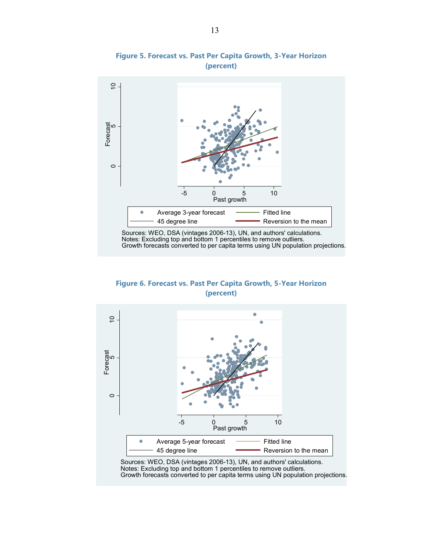

#### **Figure 5. Forecast vs. Past Per Capita Growth, 3-Year Horizon (percent)**

**Figure 6. Forecast vs. Past Per Capita Growth, 5-Year Horizon (percent)** 



Sources: WEO, DSA (vintages 2006-13), UN, and authors' calculations. Notes: Excluding top and bottom 1 percentiles to remove outliers. Growth forecasts converted to per capita terms using UN population projections.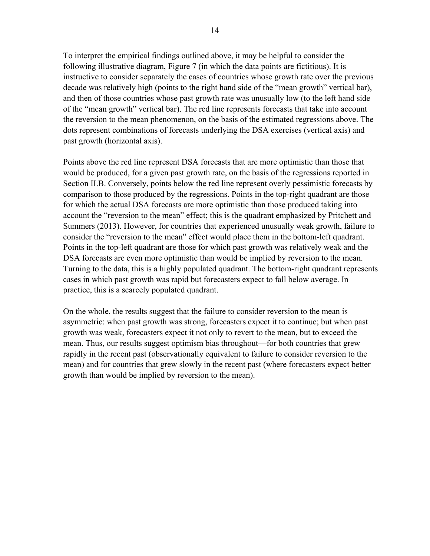To interpret the empirical findings outlined above, it may be helpful to consider the following illustrative diagram, Figure 7 (in which the data points are fictitious). It is instructive to consider separately the cases of countries whose growth rate over the previous decade was relatively high (points to the right hand side of the "mean growth" vertical bar), and then of those countries whose past growth rate was unusually low (to the left hand side of the "mean growth" vertical bar). The red line represents forecasts that take into account the reversion to the mean phenomenon, on the basis of the estimated regressions above. The dots represent combinations of forecasts underlying the DSA exercises (vertical axis) and past growth (horizontal axis).

Points above the red line represent DSA forecasts that are more optimistic than those that would be produced, for a given past growth rate, on the basis of the regressions reported in Section II.B. Conversely, points below the red line represent overly pessimistic forecasts by comparison to those produced by the regressions. Points in the top-right quadrant are those for which the actual DSA forecasts are more optimistic than those produced taking into account the "reversion to the mean" effect; this is the quadrant emphasized by Pritchett and Summers (2013). However, for countries that experienced unusually weak growth, failure to consider the "reversion to the mean" effect would place them in the bottom-left quadrant. Points in the top-left quadrant are those for which past growth was relatively weak and the DSA forecasts are even more optimistic than would be implied by reversion to the mean. Turning to the data, this is a highly populated quadrant. The bottom-right quadrant represents cases in which past growth was rapid but forecasters expect to fall below average. In practice, this is a scarcely populated quadrant.

On the whole, the results suggest that the failure to consider reversion to the mean is asymmetric: when past growth was strong, forecasters expect it to continue; but when past growth was weak, forecasters expect it not only to revert to the mean, but to exceed the mean. Thus, our results suggest optimism bias throughout—for both countries that grew rapidly in the recent past (observationally equivalent to failure to consider reversion to the mean) and for countries that grew slowly in the recent past (where forecasters expect better growth than would be implied by reversion to the mean).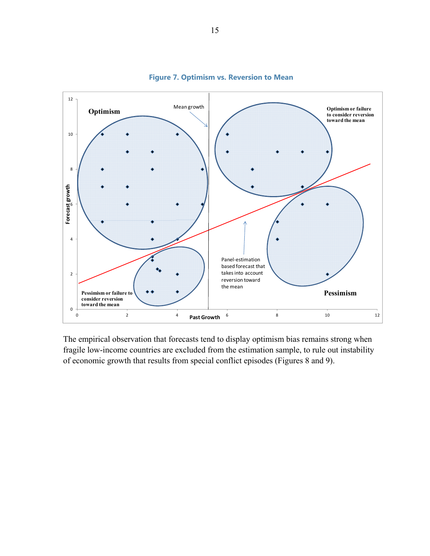

#### **Figure 7. Optimism vs. Reversion to Mean**

The empirical observation that forecasts tend to display optimism bias remains strong when fragile low-income countries are excluded from the estimation sample, to rule out instability of economic growth that results from special conflict episodes (Figures 8 and 9).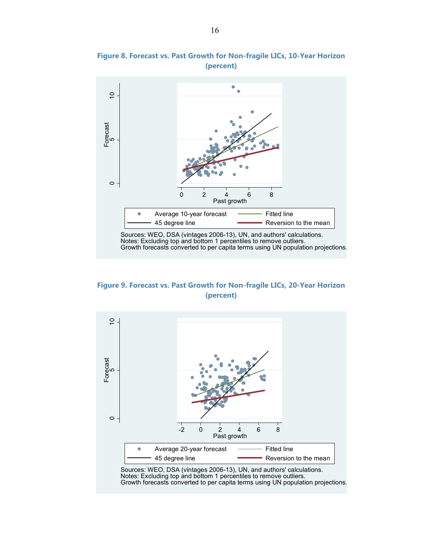

# **Figure 8. Forecast vs. Past Growth for Non-fragile LICs, 10-Year Horizon (percent)**

**Figure 9. Forecast vs. Past Growth for Non-fragile LICs, 20-Year Horizon (percent)** 

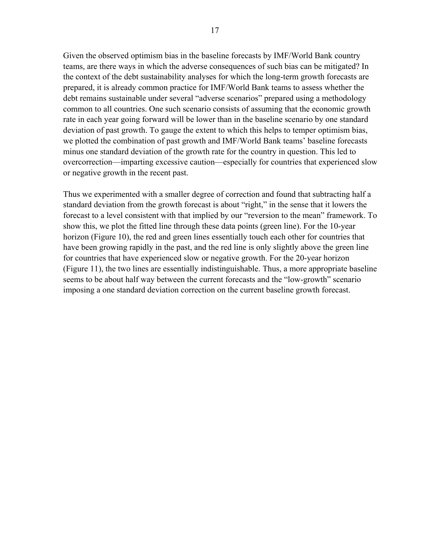Given the observed optimism bias in the baseline forecasts by IMF/World Bank country teams, are there ways in which the adverse consequences of such bias can be mitigated? In the context of the debt sustainability analyses for which the long-term growth forecasts are prepared, it is already common practice for IMF/World Bank teams to assess whether the debt remains sustainable under several "adverse scenarios" prepared using a methodology common to all countries. One such scenario consists of assuming that the economic growth rate in each year going forward will be lower than in the baseline scenario by one standard deviation of past growth. To gauge the extent to which this helps to temper optimism bias, we plotted the combination of past growth and IMF/World Bank teams' baseline forecasts minus one standard deviation of the growth rate for the country in question. This led to overcorrection—imparting excessive caution—especially for countries that experienced slow or negative growth in the recent past.

Thus we experimented with a smaller degree of correction and found that subtracting half a standard deviation from the growth forecast is about "right," in the sense that it lowers the forecast to a level consistent with that implied by our "reversion to the mean" framework. To show this, we plot the fitted line through these data points (green line). For the 10-year horizon (Figure 10), the red and green lines essentially touch each other for countries that have been growing rapidly in the past, and the red line is only slightly above the green line for countries that have experienced slow or negative growth. For the 20-year horizon (Figure 11), the two lines are essentially indistinguishable. Thus, a more appropriate baseline seems to be about half way between the current forecasts and the "low-growth" scenario imposing a one standard deviation correction on the current baseline growth forecast.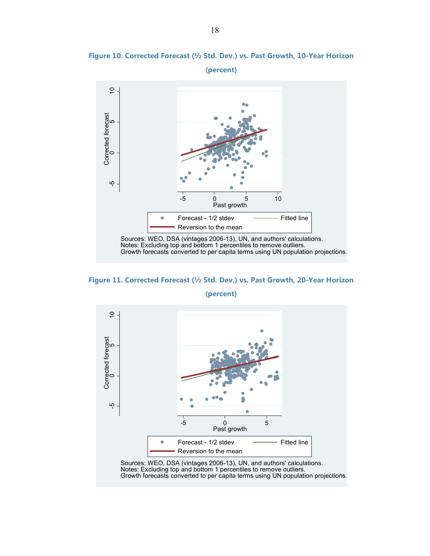

**Figure 10. Corrected Forecast (½ Std. Dev.) vs. Past Growth, 10-Year Horizon (percent)** 

**Figure 11. Corrected Forecast (½ Std. Dev.) vs. Past Growth, 20-Year Horizon** 



**(percent)**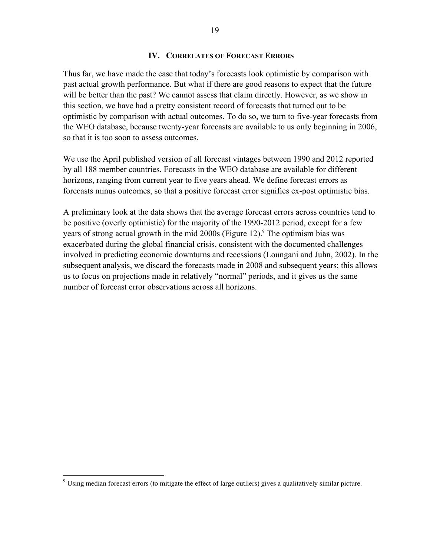#### **IV. CORRELATES OF FORECAST ERRORS**

Thus far, we have made the case that today's forecasts look optimistic by comparison with past actual growth performance. But what if there are good reasons to expect that the future will be better than the past? We cannot assess that claim directly. However, as we show in this section, we have had a pretty consistent record of forecasts that turned out to be optimistic by comparison with actual outcomes. To do so, we turn to five-year forecasts from the WEO database, because twenty-year forecasts are available to us only beginning in 2006, so that it is too soon to assess outcomes.

We use the April published version of all forecast vintages between 1990 and 2012 reported by all 188 member countries. Forecasts in the WEO database are available for different horizons, ranging from current year to five years ahead. We define forecast errors as forecasts minus outcomes, so that a positive forecast error signifies ex-post optimistic bias.

A preliminary look at the data shows that the average forecast errors across countries tend to be positive (overly optimistic) for the majority of the 1990-2012 period, except for a few years of strong actual growth in the mid 2000s (Figure 12).<sup>9</sup> The optimism bias was exacerbated during the global financial crisis, consistent with the documented challenges involved in predicting economic downturns and recessions (Loungani and Juhn, 2002). In the subsequent analysis, we discard the forecasts made in 2008 and subsequent years; this allows us to focus on projections made in relatively "normal" periods, and it gives us the same number of forecast error observations across all horizons.

<sup>&</sup>lt;sup>9</sup> Using median forecast errors (to mitigate the effect of large outliers) gives a qualitatively similar picture.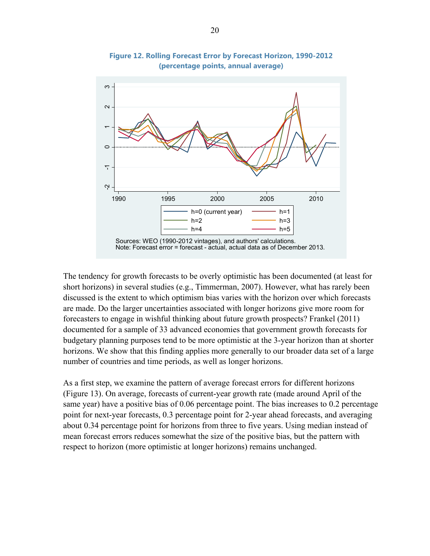

**Figure 12. Rolling Forecast Error by Forecast Horizon, 1990-2012 (percentage points, annual average)** 

The tendency for growth forecasts to be overly optimistic has been documented (at least for short horizons) in several studies (e.g., Timmerman, 2007). However, what has rarely been discussed is the extent to which optimism bias varies with the horizon over which forecasts are made. Do the larger uncertainties associated with longer horizons give more room for forecasters to engage in wishful thinking about future growth prospects? Frankel (2011) documented for a sample of 33 advanced economies that government growth forecasts for budgetary planning purposes tend to be more optimistic at the 3-year horizon than at shorter horizons. We show that this finding applies more generally to our broader data set of a large number of countries and time periods, as well as longer horizons.

As a first step, we examine the pattern of average forecast errors for different horizons (Figure 13). On average, forecasts of current-year growth rate (made around April of the same year) have a positive bias of 0.06 percentage point. The bias increases to 0.2 percentage point for next-year forecasts, 0.3 percentage point for 2-year ahead forecasts, and averaging about 0.34 percentage point for horizons from three to five years. Using median instead of mean forecast errors reduces somewhat the size of the positive bias, but the pattern with respect to horizon (more optimistic at longer horizons) remains unchanged.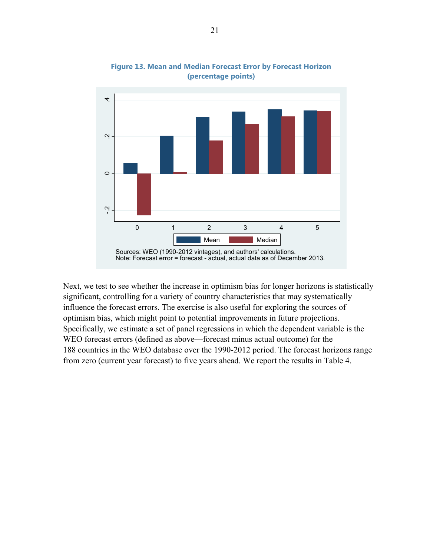

**Figure 13. Mean and Median Forecast Error by Forecast Horizon (percentage points)** 

Next, we test to see whether the increase in optimism bias for longer horizons is statistically significant, controlling for a variety of country characteristics that may systematically influence the forecast errors. The exercise is also useful for exploring the sources of optimism bias, which might point to potential improvements in future projections. Specifically, we estimate a set of panel regressions in which the dependent variable is the WEO forecast errors (defined as above—forecast minus actual outcome) for the 188 countries in the WEO database over the 1990-2012 period. The forecast horizons range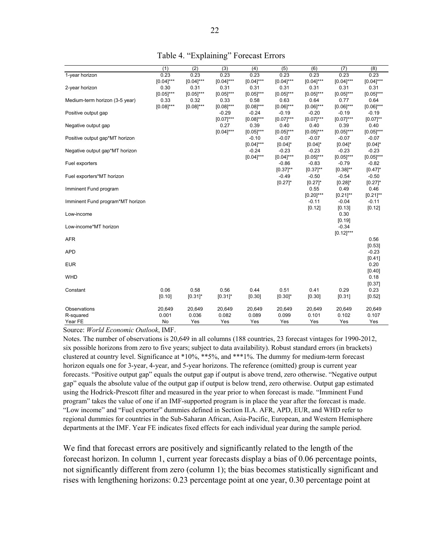|                                  | (1)            | (2)          | (3)          | (4)            | (5)            | (6)            | (7)               | (8)            |
|----------------------------------|----------------|--------------|--------------|----------------|----------------|----------------|-------------------|----------------|
| 1-year horizon                   | 0.23           | 0.23         | 0.23         | 0.23           | 0.23           | 0.23           | 0.23              | 0.23           |
|                                  | $[0.04]***$    | $[0.04]***$  | $[0.04]$ *** | $[0.04]$ ***   | $[0.04]$ ***   | $[0.04]$ ***   | $[0.04]$ ***      | $[0.04]$ ***   |
| 2-year horizon                   | 0.30           | 0.31         | 0.31         | 0.31           | 0.31           | 0.31           | 0.31              | 0.31           |
|                                  | $[0.05]^{***}$ | $[0.05]$ *** | $[0.05]$ *** | $[0.05]^{***}$ | $[0.05]^{***}$ | $[0.05]^{***}$ | $[0.05]$ ***      | $[0.05]^{***}$ |
| Medium-term horizon (3-5 year)   | 0.33           | 0.32         | 0.33         | 0.58           | 0.63           | 0.64           | 0.77              | 0.64           |
|                                  | $[0.08]$ ***   | $[0.08]$ *** | $[0.08]$ *** | $[0.08]***$    | $[0.06]$ ***   | $[0.06]^{***}$ | $[0.06]$ ***      | $[0.06]^{***}$ |
| Positive output gap              |                |              | $-0.29$      | $-0.24$        | $-0.19$        | $-0.20$        | $-0.19$           | $-0.19$        |
|                                  |                |              | $[0.07]***$  | $[0.08]$ ***   | $[0.07]$ ***   | $[0.07]$ ***   | $[0.07]***$       | $[0.07]^{**}$  |
| Negative output gap              |                |              | 0.27         | 0.39           | 0.40           | 0.40           | 0.39              | 0.40           |
|                                  |                |              | $[0.04]$ *** | $[0.05]$ ***   | $[0.05]$ ***   | $[0.05]$ ***   | $[0.05]^{***}$    | $[0.05]^{***}$ |
| Positive output gap*MT horizon   |                |              |              | $-0.10$        | $-0.07$        | $-0.07$        | $-0.07$           | $-0.07$        |
|                                  |                |              |              | $[0.04]$ ***   | $[0.04]$ *     | $[0.04]$ *     | $[0.04]$ *        | $[0.04]$ *     |
| Negative output gap*MT horizon   |                |              |              | $-0.24$        | $-0.23$        | $-0.23$        | $-0.23$           | $-0.23$        |
|                                  |                |              |              | $[0.04]$ ***   | $[0.04]$ ***   | $[0.05]^{***}$ | $[0.05]^{***}$    | $[0.05]$ ***   |
| Fuel exporters                   |                |              |              |                | $-0.86$        | $-0.83$        | $-0.79$           | $-0.82$        |
|                                  |                |              |              |                | $[0.37]^{**}$  | $[0.37]^{**}$  | $[0.38]^{**}$     | $[0.47]$ *     |
| Fuel exporters*MT horizon        |                |              |              |                | $-0.49$        | $-0.50$        | $-0.54$           | $-0.50$        |
|                                  |                |              |              |                | $[0.27]$ *     | $[0.27]$ *     | $[0.28]$ *        | $[0.27]$ *     |
| Imminent Fund program            |                |              |              |                |                | 0.55           | 0.49              | 0.46           |
|                                  |                |              |              |                |                | $[0.20]$ ***   | $[0.21]^{**}$     | $[0.21]$ **    |
| Imminent Fund program*MT horizon |                |              |              |                |                | $-0.11$        | $-0.04$           | $-0.11$        |
|                                  |                |              |              |                |                | [0.12]         | [0.13]            | [0.12]         |
| Low-income                       |                |              |              |                |                |                | 0.30              |                |
|                                  |                |              |              |                |                |                |                   |                |
|                                  |                |              |              |                |                |                | [0.19]<br>$-0.34$ |                |
| Low-income*MT horizon            |                |              |              |                |                |                |                   |                |
|                                  |                |              |              |                |                |                | $[0.12]***$       |                |
| <b>AFR</b>                       |                |              |              |                |                |                |                   | 0.56           |
|                                  |                |              |              |                |                |                |                   | [0.53]         |
| <b>APD</b>                       |                |              |              |                |                |                |                   | $-0.23$        |
|                                  |                |              |              |                |                |                |                   | [0.41]         |
| <b>EUR</b>                       |                |              |              |                |                |                |                   | 0.20           |
|                                  |                |              |              |                |                |                |                   | [0.40]         |
| WHD                              |                |              |              |                |                |                |                   | 0.18           |
|                                  |                |              |              |                |                |                |                   | [0.37]         |
| Constant                         | 0.06           | 0.58         | 0.56         | 0.44           | 0.51           | 0.41           | 0.29              | 0.23           |
|                                  | [0.10]         | $[0.31]$ *   | $[0.31]$ *   | [0.30]         | $[0.30]$ *     | [0.30]         | [0.31]            | [0.52]         |
| Observations                     | 20,649         | 20,649       | 20,649       | 20,649         | 20,649         | 20,649         | 20,649            | 20,649         |
| R-squared                        | 0.001          | 0.036        | 0.082        | 0.089          | 0.099          | 0.101          | 0.102             | 0.107          |
| Year FE                          | No             | Yes          | Yes          | Yes            | Yes            | Yes            | Yes               | Yes            |

Table 4. "Explaining" Forecast Errors

Source: *World Economic Outlook*, IMF.

Notes. The number of observations is 20,649 in all columns (188 countries, 23 forecast vintages for 1990-2012, six possible horizons from zero to five years; subject to data availability). Robust standard errors (in brackets) clustered at country level. Significance at \*10%, \*\*5%, and \*\*\*1%. The dummy for medium-term forecast horizon equals one for 3-year, 4-year, and 5-year horizons. The reference (omitted) group is current year forecasts. "Positive output gap" equals the output gap if output is above trend, zero otherwise. "Negative output gap" equals the absolute value of the output gap if output is below trend, zero otherwise. Output gap estimated using the Hodrick-Prescott filter and measured in the year prior to when forecast is made. "Imminent Fund program" takes the value of one if an IMF-supported program is in place the year after the forecast is made. "Low income" and "Fuel exporter" dummies defined in Section II.A. AFR, APD, EUR, and WHD refer to regional dummies for countries in the Sub-Saharan African, Asia-Pacific, European, and Western Hemisphere departments at the IMF. Year FE indicates fixed effects for each individual year during the sample period.

We find that forecast errors are positively and significantly related to the length of the forecast horizon. In column 1, current year forecasts display a bias of 0.06 percentage points, not significantly different from zero (column 1); the bias becomes statistically significant and rises with lengthening horizons: 0.23 percentage point at one year, 0.30 percentage point at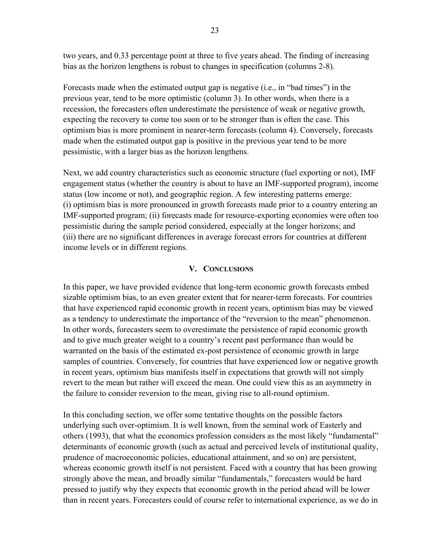two years, and 0.33 percentage point at three to five years ahead. The finding of increasing bias as the horizon lengthens is robust to changes in specification (columns 2-8).

Forecasts made when the estimated output gap is negative (i.e., in "bad times") in the previous year, tend to be more optimistic (column 3). In other words, when there is a recession, the forecasters often underestimate the persistence of weak or negative growth, expecting the recovery to come too soon or to be stronger than is often the case. This optimism bias is more prominent in nearer-term forecasts (column 4). Conversely, forecasts made when the estimated output gap is positive in the previous year tend to be more pessimistic, with a larger bias as the horizon lengthens.

Next, we add country characteristics such as economic structure (fuel exporting or not), IMF engagement status (whether the country is about to have an IMF-supported program), income status (low income or not), and geographic region. A few interesting patterns emerge: (i) optimism bias is more pronounced in growth forecasts made prior to a country entering an IMF-supported program; (ii) forecasts made for resource-exporting economies were often too pessimistic during the sample period considered, especially at the longer horizons; and (iii) there are no significant differences in average forecast errors for countries at different income levels or in different regions.

#### **V. CONCLUSIONS**

In this paper, we have provided evidence that long-term economic growth forecasts embed sizable optimism bias, to an even greater extent that for nearer-term forecasts. For countries that have experienced rapid economic growth in recent years, optimism bias may be viewed as a tendency to underestimate the importance of the "reversion to the mean" phenomenon. In other words, forecasters seem to overestimate the persistence of rapid economic growth and to give much greater weight to a country's recent past performance than would be warranted on the basis of the estimated ex-post persistence of economic growth in large samples of countries. Conversely, for countries that have experienced low or negative growth in recent years, optimism bias manifests itself in expectations that growth will not simply revert to the mean but rather will exceed the mean. One could view this as an asymmetry in the failure to consider reversion to the mean, giving rise to all-round optimism.

In this concluding section, we offer some tentative thoughts on the possible factors underlying such over-optimism. It is well known, from the seminal work of Easterly and others (1993), that what the economics profession considers as the most likely "fundamental" determinants of economic growth (such as actual and perceived levels of institutional quality, prudence of macroeconomic policies, educational attainment, and so on) are persistent, whereas economic growth itself is not persistent. Faced with a country that has been growing strongly above the mean, and broadly similar "fundamentals," forecasters would be hard pressed to justify why they expects that economic growth in the period ahead will be lower than in recent years. Forecasters could of course refer to international experience, as we do in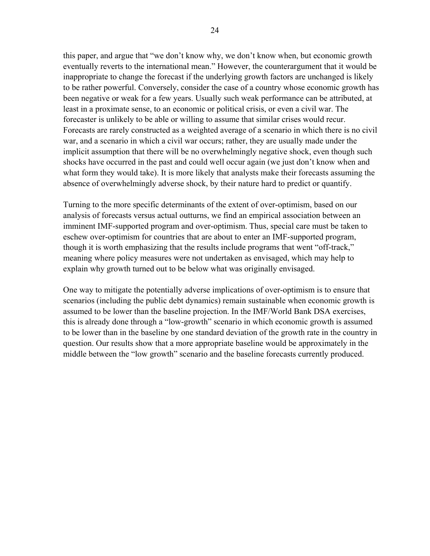this paper, and argue that "we don't know why, we don't know when, but economic growth eventually reverts to the international mean." However, the counterargument that it would be inappropriate to change the forecast if the underlying growth factors are unchanged is likely to be rather powerful. Conversely, consider the case of a country whose economic growth has been negative or weak for a few years. Usually such weak performance can be attributed, at least in a proximate sense, to an economic or political crisis, or even a civil war. The forecaster is unlikely to be able or willing to assume that similar crises would recur. Forecasts are rarely constructed as a weighted average of a scenario in which there is no civil war, and a scenario in which a civil war occurs; rather, they are usually made under the implicit assumption that there will be no overwhelmingly negative shock, even though such shocks have occurred in the past and could well occur again (we just don't know when and what form they would take). It is more likely that analysts make their forecasts assuming the absence of overwhelmingly adverse shock, by their nature hard to predict or quantify.

Turning to the more specific determinants of the extent of over-optimism, based on our analysis of forecasts versus actual outturns, we find an empirical association between an imminent IMF-supported program and over-optimism. Thus, special care must be taken to eschew over-optimism for countries that are about to enter an IMF-supported program, though it is worth emphasizing that the results include programs that went "off-track," meaning where policy measures were not undertaken as envisaged, which may help to explain why growth turned out to be below what was originally envisaged.

One way to mitigate the potentially adverse implications of over-optimism is to ensure that scenarios (including the public debt dynamics) remain sustainable when economic growth is assumed to be lower than the baseline projection. In the IMF/World Bank DSA exercises, this is already done through a "low-growth" scenario in which economic growth is assumed to be lower than in the baseline by one standard deviation of the growth rate in the country in question. Our results show that a more appropriate baseline would be approximately in the middle between the "low growth" scenario and the baseline forecasts currently produced.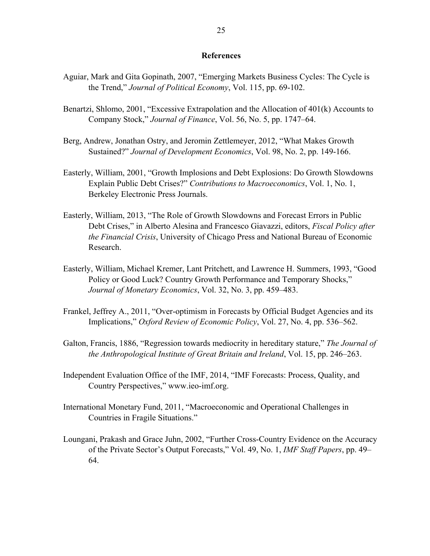#### **References**

- Aguiar, Mark and Gita Gopinath, 2007, "Emerging Markets Business Cycles: The Cycle is the Trend," *Journal of Political Economy*, Vol. 115, pp. 69-102.
- Benartzi, Shlomo, 2001, "Excessive Extrapolation and the Allocation of 401(k) Accounts to Company Stock," *Journal of Finance*, Vol. 56, No. 5, pp. 1747–64.
- Berg, Andrew, Jonathan Ostry, and Jeromin Zettlemeyer, 2012, "What Makes Growth Sustained?" *Journal of Development Economics*, Vol. 98, No. 2, pp. 149-166.
- Easterly, William, 2001, "Growth Implosions and Debt Explosions: Do Growth Slowdowns Explain Public Debt Crises?" *Contributions to Macroeconomics*, Vol. 1, No. 1, Berkeley Electronic Press Journals.
- Easterly, William, 2013, "The Role of Growth Slowdowns and Forecast Errors in Public Debt Crises," in Alberto Alesina and Francesco Giavazzi, editors, *Fiscal Policy after the Financial Crisis*, University of Chicago Press and National Bureau of Economic Research.
- Easterly, William, Michael Kremer, Lant Pritchett, and Lawrence H. Summers, 1993, "Good Policy or Good Luck? Country Growth Performance and Temporary Shocks," *Journal of Monetary Economics*, Vol. 32, No. 3, pp. 459–483.
- Frankel, Jeffrey A., 2011, "Over-optimism in Forecasts by Official Budget Agencies and its Implications," *Oxford Review of Economic Policy*, Vol. 27, No. 4, pp. 536–562.
- Galton, Francis, 1886, "Regression towards mediocrity in hereditary stature," *The Journal of the Anthropological Institute of Great Britain and Ireland*, Vol. 15, pp. 246–263.
- Independent Evaluation Office of the IMF, 2014, "IMF Forecasts: Process, Quality, and Country Perspectives," www.ieo-imf.org.
- International Monetary Fund, 2011, "Macroeconomic and Operational Challenges in Countries in Fragile Situations."
- Loungani, Prakash and Grace Juhn, 2002, "Further Cross-Country Evidence on the Accuracy of the Private Sector's Output Forecasts," Vol. 49, No. 1, *IMF Staff Papers*, pp. 49– 64.